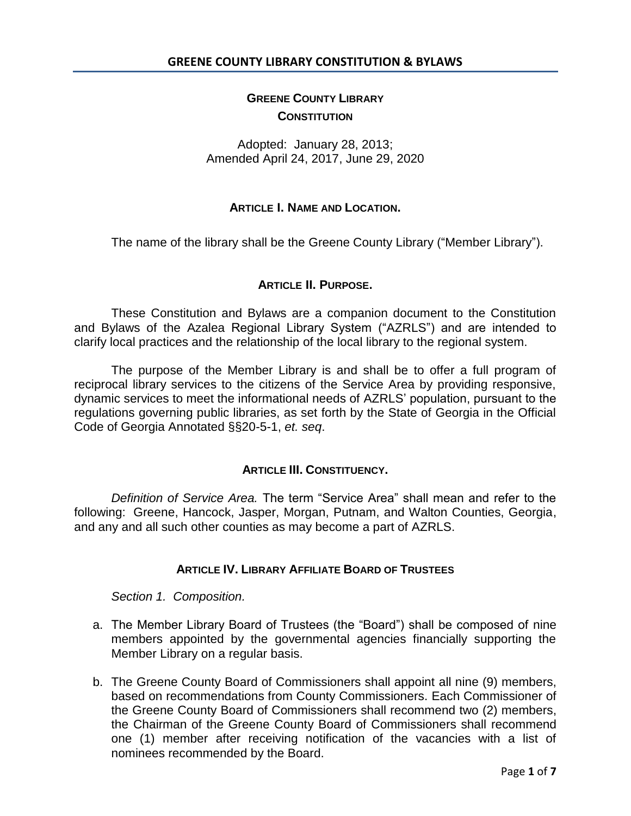# **GREENE COUNTY LIBRARY CONSTITUTION**

# Adopted: January 28, 2013; Amended April 24, 2017, June 29, 2020

## **ARTICLE I. NAME AND LOCATION.**

The name of the library shall be the Greene County Library ("Member Library").

## **ARTICLE II. PURPOSE.**

These Constitution and Bylaws are a companion document to the Constitution and Bylaws of the Azalea Regional Library System ("AZRLS") and are intended to clarify local practices and the relationship of the local library to the regional system.

The purpose of the Member Library is and shall be to offer a full program of reciprocal library services to the citizens of the Service Area by providing responsive, dynamic services to meet the informational needs of AZRLS' population, pursuant to the regulations governing public libraries, as set forth by the State of Georgia in the Official Code of Georgia Annotated §§20-5-1, *et. seq*.

### **ARTICLE III. CONSTITUENCY.**

*Definition of Service Area.* The term "Service Area" shall mean and refer to the following: Greene, Hancock, Jasper, Morgan, Putnam, and Walton Counties, Georgia, and any and all such other counties as may become a part of AZRLS.

## **ARTICLE IV. LIBRARY AFFILIATE BOARD OF TRUSTEES**

*Section 1. Composition.* 

- a. The Member Library Board of Trustees (the "Board") shall be composed of nine members appointed by the governmental agencies financially supporting the Member Library on a regular basis.
- b. The Greene County Board of Commissioners shall appoint all nine (9) members, based on recommendations from County Commissioners. Each Commissioner of the Greene County Board of Commissioners shall recommend two (2) members, the Chairman of the Greene County Board of Commissioners shall recommend one (1) member after receiving notification of the vacancies with a list of nominees recommended by the Board.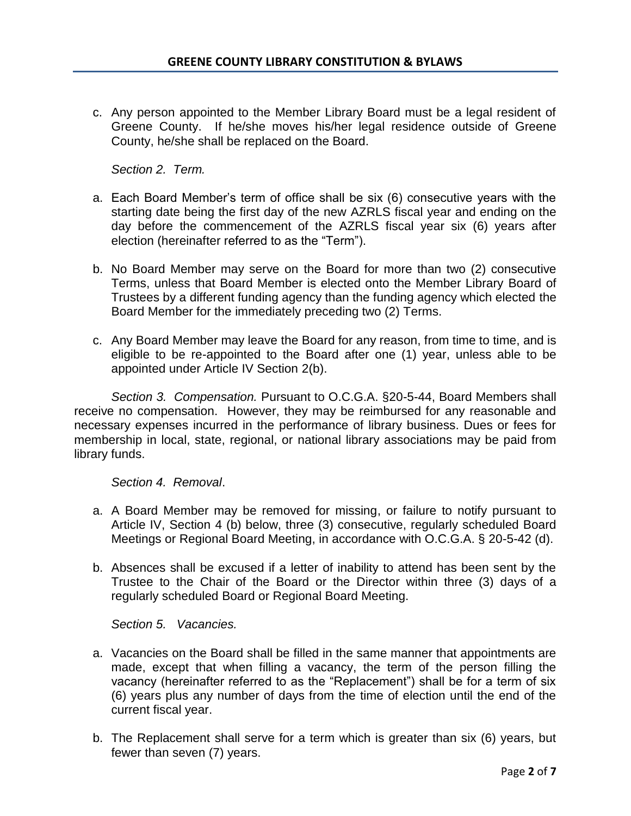c. Any person appointed to the Member Library Board must be a legal resident of Greene County. If he/she moves his/her legal residence outside of Greene County, he/she shall be replaced on the Board.

*Section 2. Term.*

- a. Each Board Member's term of office shall be six (6) consecutive years with the starting date being the first day of the new AZRLS fiscal year and ending on the day before the commencement of the AZRLS fiscal year six (6) years after election (hereinafter referred to as the "Term").
- b. No Board Member may serve on the Board for more than two (2) consecutive Terms, unless that Board Member is elected onto the Member Library Board of Trustees by a different funding agency than the funding agency which elected the Board Member for the immediately preceding two (2) Terms.
- c. Any Board Member may leave the Board for any reason, from time to time, and is eligible to be re-appointed to the Board after one (1) year, unless able to be appointed under Article IV Section 2(b).

*Section 3. Compensation.* Pursuant to O.C.G.A. §20-5-44, Board Members shall receive no compensation. However, they may be reimbursed for any reasonable and necessary expenses incurred in the performance of library business. Dues or fees for membership in local, state, regional, or national library associations may be paid from library funds.

*Section 4. Removal*.

- a. A Board Member may be removed for missing, or failure to notify pursuant to Article IV, Section 4 (b) below, three (3) consecutive, regularly scheduled Board Meetings or Regional Board Meeting, in accordance with O.C.G.A. § 20-5-42 (d).
- b. Absences shall be excused if a letter of inability to attend has been sent by the Trustee to the Chair of the Board or the Director within three (3) days of a regularly scheduled Board or Regional Board Meeting.

*Section 5. Vacancies.*

- a. Vacancies on the Board shall be filled in the same manner that appointments are made, except that when filling a vacancy, the term of the person filling the vacancy (hereinafter referred to as the "Replacement") shall be for a term of six (6) years plus any number of days from the time of election until the end of the current fiscal year.
- b. The Replacement shall serve for a term which is greater than six (6) years, but fewer than seven (7) years.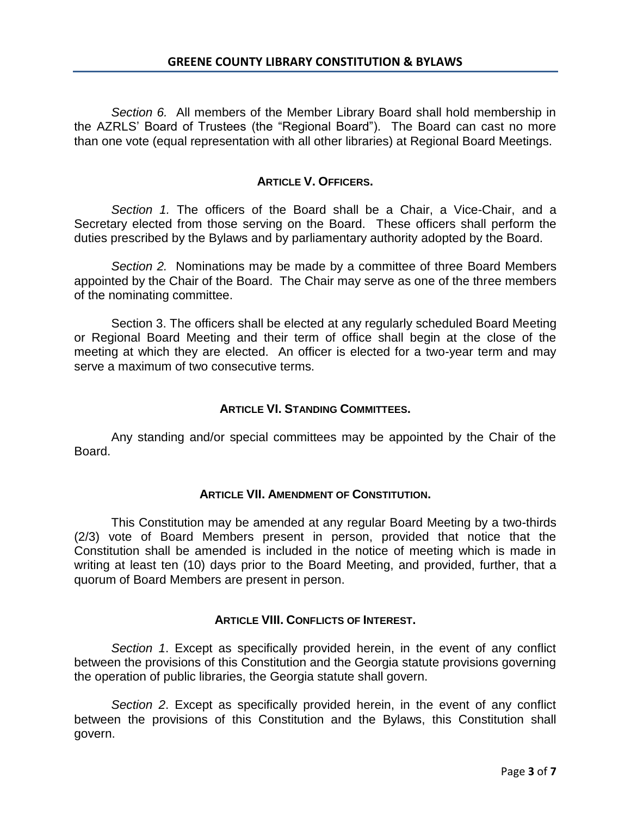*Section 6.* All members of the Member Library Board shall hold membership in the AZRLS' Board of Trustees (the "Regional Board"). The Board can cast no more than one vote (equal representation with all other libraries) at Regional Board Meetings.

# **ARTICLE V. OFFICERS.**

*Section 1.* The officers of the Board shall be a Chair, a Vice-Chair, and a Secretary elected from those serving on the Board. These officers shall perform the duties prescribed by the Bylaws and by parliamentary authority adopted by the Board.

*Section 2.* Nominations may be made by a committee of three Board Members appointed by the Chair of the Board. The Chair may serve as one of the three members of the nominating committee.

Section 3. The officers shall be elected at any regularly scheduled Board Meeting or Regional Board Meeting and their term of office shall begin at the close of the meeting at which they are elected. An officer is elected for a two-year term and may serve a maximum of two consecutive terms.

# **ARTICLE VI. STANDING COMMITTEES.**

Any standing and/or special committees may be appointed by the Chair of the Board.

# **ARTICLE VII. AMENDMENT OF CONSTITUTION.**

This Constitution may be amended at any regular Board Meeting by a two-thirds (2/3) vote of Board Members present in person, provided that notice that the Constitution shall be amended is included in the notice of meeting which is made in writing at least ten (10) days prior to the Board Meeting, and provided, further, that a quorum of Board Members are present in person.

# **ARTICLE VIII. CONFLICTS OF INTEREST.**

*Section 1*. Except as specifically provided herein, in the event of any conflict between the provisions of this Constitution and the Georgia statute provisions governing the operation of public libraries, the Georgia statute shall govern.

*Section 2*. Except as specifically provided herein, in the event of any conflict between the provisions of this Constitution and the Bylaws, this Constitution shall govern.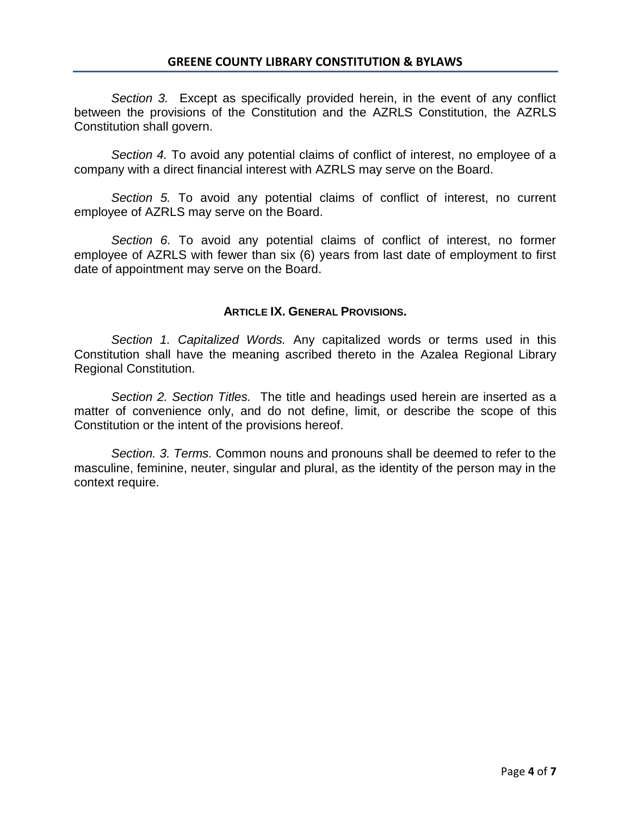*Section 3.* Except as specifically provided herein, in the event of any conflict between the provisions of the Constitution and the AZRLS Constitution, the AZRLS Constitution shall govern.

*Section 4.* To avoid any potential claims of conflict of interest, no employee of a company with a direct financial interest with AZRLS may serve on the Board.

*Section 5.* To avoid any potential claims of conflict of interest, no current employee of AZRLS may serve on the Board.

*Section 6.* To avoid any potential claims of conflict of interest, no former employee of AZRLS with fewer than six (6) years from last date of employment to first date of appointment may serve on the Board.

## **ARTICLE IX. GENERAL PROVISIONS.**

*Section 1. Capitalized Words.* Any capitalized words or terms used in this Constitution shall have the meaning ascribed thereto in the Azalea Regional Library Regional Constitution.

*Section 2. Section Titles.* The title and headings used herein are inserted as a matter of convenience only, and do not define, limit, or describe the scope of this Constitution or the intent of the provisions hereof.

*Section. 3. Terms.* Common nouns and pronouns shall be deemed to refer to the masculine, feminine, neuter, singular and plural, as the identity of the person may in the context require.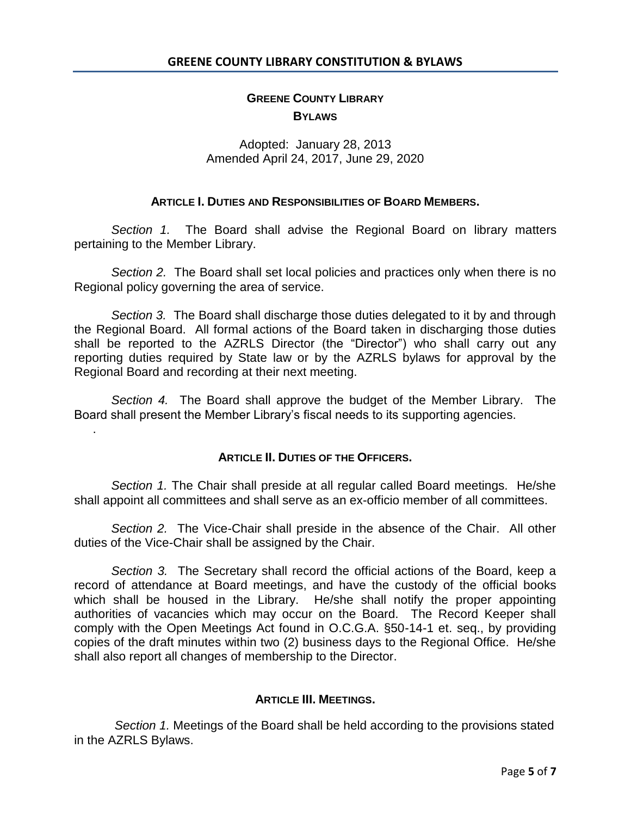# **GREENE COUNTY LIBRARY BYLAWS**

# Adopted: January 28, 2013 Amended April 24, 2017, June 29, 2020

### **ARTICLE I. DUTIES AND RESPONSIBILITIES OF BOARD MEMBERS.**

*Section 1.* The Board shall advise the Regional Board on library matters pertaining to the Member Library.

*Section 2.* The Board shall set local policies and practices only when there is no Regional policy governing the area of service.

*Section 3.* The Board shall discharge those duties delegated to it by and through the Regional Board. All formal actions of the Board taken in discharging those duties shall be reported to the AZRLS Director (the "Director") who shall carry out any reporting duties required by State law or by the AZRLS bylaws for approval by the Regional Board and recording at their next meeting.

*Section 4.* The Board shall approve the budget of the Member Library. The Board shall present the Member Library's fiscal needs to its supporting agencies.

.

### **ARTICLE II. DUTIES OF THE OFFICERS.**

*Section 1.* The Chair shall preside at all regular called Board meetings. He/she shall appoint all committees and shall serve as an ex-officio member of all committees.

*Section 2.* The Vice-Chair shall preside in the absence of the Chair. All other duties of the Vice-Chair shall be assigned by the Chair.

*Section 3.* The Secretary shall record the official actions of the Board, keep a record of attendance at Board meetings, and have the custody of the official books which shall be housed in the Library. He/she shall notify the proper appointing authorities of vacancies which may occur on the Board. The Record Keeper shall comply with the Open Meetings Act found in O.C.G.A. §50-14-1 et. seq., by providing copies of the draft minutes within two (2) business days to the Regional Office. He/she shall also report all changes of membership to the Director.

### **ARTICLE III. MEETINGS.**

*Section 1.* Meetings of the Board shall be held according to the provisions stated in the AZRLS Bylaws.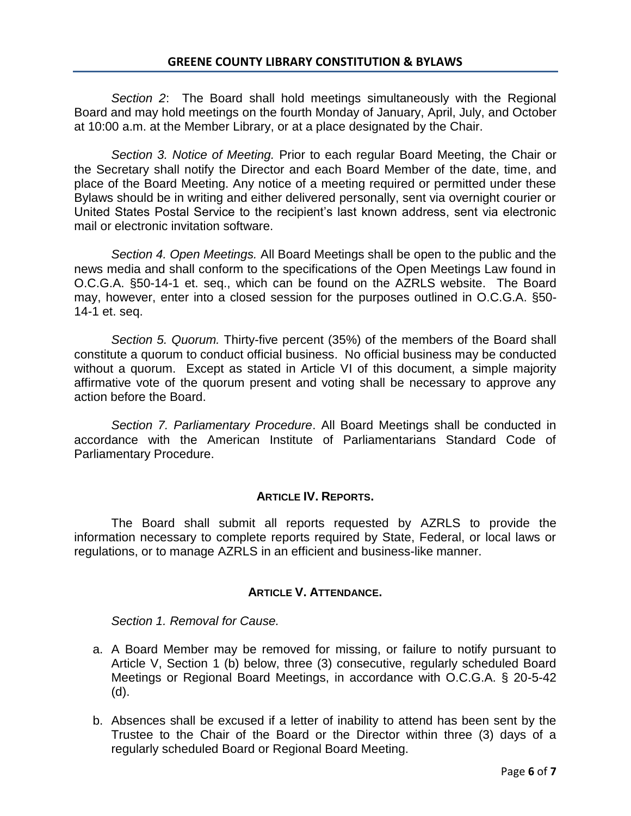*Section 2*: The Board shall hold meetings simultaneously with the Regional Board and may hold meetings on the fourth Monday of January, April, July, and October at 10:00 a.m. at the Member Library, or at a place designated by the Chair.

*Section 3. Notice of Meeting.* Prior to each regular Board Meeting, the Chair or the Secretary shall notify the Director and each Board Member of the date, time, and place of the Board Meeting. Any notice of a meeting required or permitted under these Bylaws should be in writing and either delivered personally, sent via overnight courier or United States Postal Service to the recipient's last known address, sent via electronic mail or electronic invitation software.

*Section 4. Open Meetings.* All Board Meetings shall be open to the public and the news media and shall conform to the specifications of the Open Meetings Law found in O.C.G.A. §50-14-1 et. seq., which can be found on the AZRLS website. The Board may, however, enter into a closed session for the purposes outlined in O.C.G.A. §50- 14-1 et. seq.

*Section 5. Quorum.* Thirty-five percent (35%) of the members of the Board shall constitute a quorum to conduct official business. No official business may be conducted without a quorum. Except as stated in Article VI of this document, a simple majority affirmative vote of the quorum present and voting shall be necessary to approve any action before the Board.

*Section 7. Parliamentary Procedure*. All Board Meetings shall be conducted in accordance with the American Institute of Parliamentarians Standard Code of Parliamentary Procedure.

### **ARTICLE IV. REPORTS.**

The Board shall submit all reports requested by AZRLS to provide the information necessary to complete reports required by State, Federal, or local laws or regulations, or to manage AZRLS in an efficient and business-like manner.

### **ARTICLE V. ATTENDANCE.**

*Section 1. Removal for Cause.*

- a. A Board Member may be removed for missing, or failure to notify pursuant to Article V, Section 1 (b) below, three (3) consecutive, regularly scheduled Board Meetings or Regional Board Meetings, in accordance with O.C.G.A. § 20-5-42 (d).
- b. Absences shall be excused if a letter of inability to attend has been sent by the Trustee to the Chair of the Board or the Director within three (3) days of a regularly scheduled Board or Regional Board Meeting.